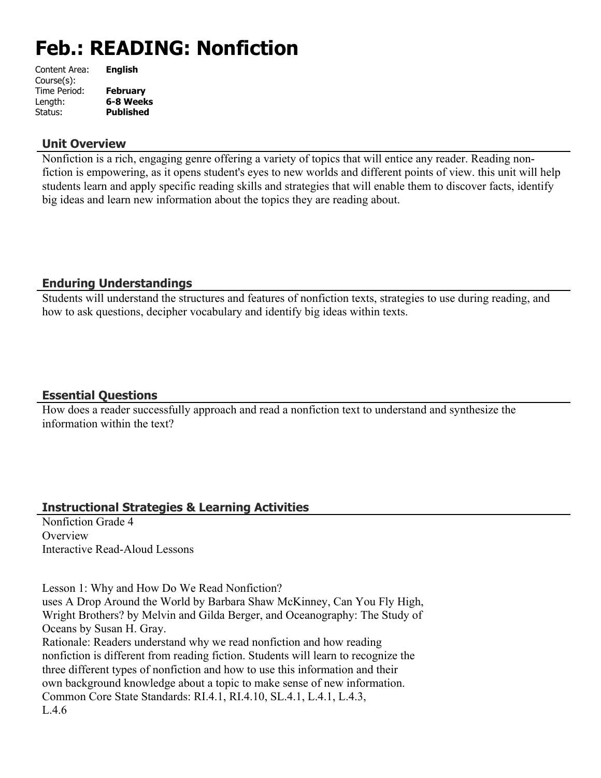# **Feb.: READING: Nonfiction**

| Content Area: | <b>English</b>   |
|---------------|------------------|
| Course(s):    |                  |
| Time Period:  | <b>February</b>  |
| Length:       | 6-8 Weeks        |
| Status:       | <b>Published</b> |
|               |                  |

#### **Unit Overview**

Nonfiction is a rich, engaging genre offering a variety of topics that will entice any reader. Reading nonfiction is empowering, as it opens student's eyes to new worlds and different points of view. this unit will help students learn and apply specific reading skills and strategies that will enable them to discover facts, identify big ideas and learn new information about the topics they are reading about.

#### **Enduring Understandings**

Students will understand the structures and features of nonfiction texts, strategies to use during reading, and how to ask questions, decipher vocabulary and identify big ideas within texts.

#### **Essential Questions**

How does a reader successfully approach and read a nonfiction text to understand and synthesize the information within the text?

# **Instructional Strategies & Learning Activities**

Nonfiction Grade 4 **Overview** Interactive Read-Aloud Lessons

Lesson 1: Why and How Do We Read Nonfiction?

uses A Drop Around the World by Barbara Shaw McKinney, Can You Fly High, Wright Brothers? by Melvin and Gilda Berger, and Oceanography: The Study of Oceans by Susan H. Gray.

Rationale: Readers understand why we read nonfiction and how reading nonfiction is different from reading fiction. Students will learn to recognize the three different types of nonfiction and how to use this information and their own background knowledge about a topic to make sense of new information. Common Core State Standards: RI.4.1, RI.4.10, SL.4.1, L.4.1, L.4.3,  $L.46$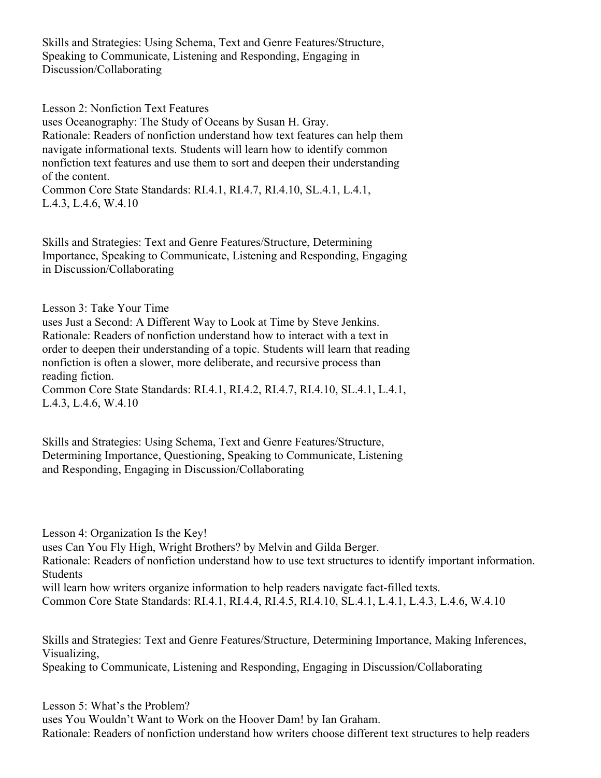Skills and Strategies: Using Schema, Text and Genre Features/Structure, Speaking to Communicate, Listening and Responding, Engaging in Discussion/Collaborating

Lesson 2: Nonfiction Text Features

uses Oceanography: The Study of Oceans by Susan H. Gray. Rationale: Readers of nonfiction understand how text features can help them navigate informational texts. Students will learn how to identify common nonfiction text features and use them to sort and deepen their understanding of the content.

Common Core State Standards: RI.4.1, RI.4.7, RI.4.10, SL.4.1, L.4.1, L.4.3, L.4.6, W.4.10

Skills and Strategies: Text and Genre Features/Structure, Determining Importance, Speaking to Communicate, Listening and Responding, Engaging in Discussion/Collaborating

Lesson 3: Take Your Time

uses Just a Second: A Different Way to Look at Time by Steve Jenkins. Rationale: Readers of nonfiction understand how to interact with a text in order to deepen their understanding of a topic. Students will learn that reading nonfiction is often a slower, more deliberate, and recursive process than reading fiction.

Common Core State Standards: RI.4.1, RI.4.2, RI.4.7, RI.4.10, SL.4.1, L.4.1, L.4.3, L.4.6, W.4.10

Skills and Strategies: Using Schema, Text and Genre Features/Structure, Determining Importance, Questioning, Speaking to Communicate, Listening and Responding, Engaging in Discussion/Collaborating

Lesson 4: Organization Is the Key!

uses Can You Fly High, Wright Brothers? by Melvin and Gilda Berger.

Rationale: Readers of nonfiction understand how to use text structures to identify important information. **Students** 

will learn how writers organize information to help readers navigate fact-filled texts.

Common Core State Standards: RI.4.1, RI.4.4, RI.4.5, RI.4.10, SL.4.1, L.4.1, L.4.3, L.4.6, W.4.10

Skills and Strategies: Text and Genre Features/Structure, Determining Importance, Making Inferences, Visualizing,

Speaking to Communicate, Listening and Responding, Engaging in Discussion/Collaborating

Lesson 5: What's the Problem? uses You Wouldn't Want to Work on the Hoover Dam! by Ian Graham. Rationale: Readers of nonfiction understand how writers choose different text structures to help readers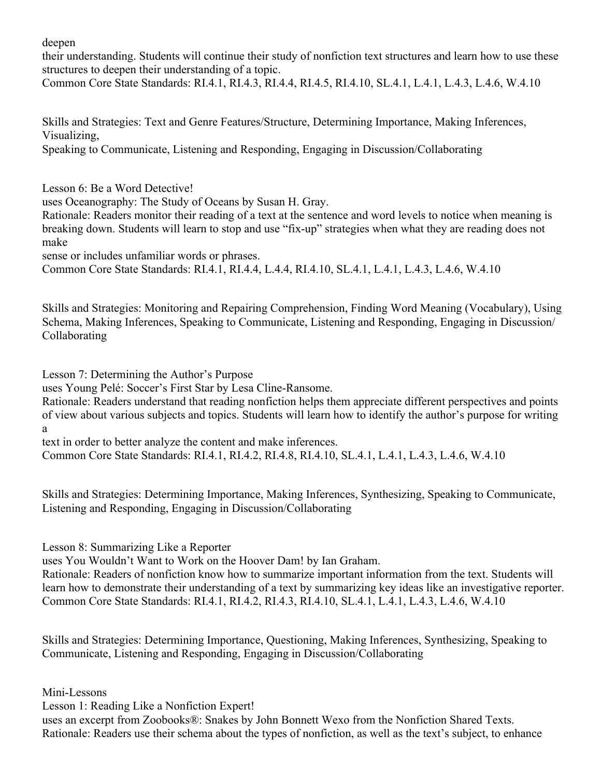deepen

their understanding. Students will continue their study of nonfiction text structures and learn how to use these structures to deepen their understanding of a topic.

Common Core State Standards: RI.4.1, RI.4.3, RI.4.4, RI.4.5, RI.4.10, SL.4.1, L.4.1, L.4.3, L.4.6, W.4.10

Skills and Strategies: Text and Genre Features/Structure, Determining Importance, Making Inferences, Visualizing,

Speaking to Communicate, Listening and Responding, Engaging in Discussion/Collaborating

Lesson 6: Be a Word Detective!

uses Oceanography: The Study of Oceans by Susan H. Gray.

Rationale: Readers monitor their reading of a text at the sentence and word levels to notice when meaning is breaking down. Students will learn to stop and use "fix-up" strategies when what they are reading does not make

sense or includes unfamiliar words or phrases.

Common Core State Standards: RI.4.1, RI.4.4, L.4.4, RI.4.10, SL.4.1, L.4.1, L.4.3, L.4.6, W.4.10

Skills and Strategies: Monitoring and Repairing Comprehension, Finding Word Meaning (Vocabulary), Using Schema, Making Inferences, Speaking to Communicate, Listening and Responding, Engaging in Discussion/ Collaborating

Lesson 7: Determining the Author's Purpose

uses Young Pelé: Soccer's First Star by Lesa Cline-Ransome.

Rationale: Readers understand that reading nonfiction helps them appreciate different perspectives and points of view about various subjects and topics. Students will learn how to identify the author's purpose for writing a

text in order to better analyze the content and make inferences.

Common Core State Standards: RI.4.1, RI.4.2, RI.4.8, RI.4.10, SL.4.1, L.4.1, L.4.3, L.4.6, W.4.10

Skills and Strategies: Determining Importance, Making Inferences, Synthesizing, Speaking to Communicate, Listening and Responding, Engaging in Discussion/Collaborating

Lesson 8: Summarizing Like a Reporter

uses You Wouldn't Want to Work on the Hoover Dam! by Ian Graham.

Rationale: Readers of nonfiction know how to summarize important information from the text. Students will learn how to demonstrate their understanding of a text by summarizing key ideas like an investigative reporter. Common Core State Standards: RI.4.1, RI.4.2, RI.4.3, RI.4.10, SL.4.1, L.4.1, L.4.3, L.4.6, W.4.10

Skills and Strategies: Determining Importance, Questioning, Making Inferences, Synthesizing, Speaking to Communicate, Listening and Responding, Engaging in Discussion/Collaborating

Mini-Lessons

Lesson 1: Reading Like a Nonfiction Expert!

uses an excerpt from Zoobooks®: Snakes by John Bonnett Wexo from the Nonfiction Shared Texts. Rationale: Readers use their schema about the types of nonfiction, as well as the text's subject, to enhance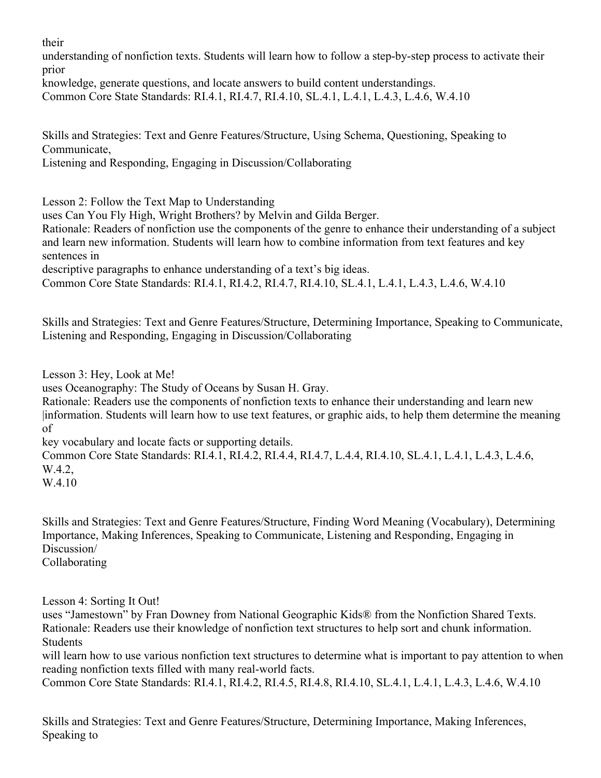their

understanding of nonfiction texts. Students will learn how to follow a step-by-step process to activate their prior

knowledge, generate questions, and locate answers to build content understandings.

Common Core State Standards: RI.4.1, RI.4.7, RI.4.10, SL.4.1, L.4.1, L.4.3, L.4.6, W.4.10

Skills and Strategies: Text and Genre Features/Structure, Using Schema, Questioning, Speaking to Communicate,

Listening and Responding, Engaging in Discussion/Collaborating

Lesson 2: Follow the Text Map to Understanding

uses Can You Fly High, Wright Brothers? by Melvin and Gilda Berger.

Rationale: Readers of nonfiction use the components of the genre to enhance their understanding of a subject and learn new information. Students will learn how to combine information from text features and key sentences in

descriptive paragraphs to enhance understanding of a text's big ideas.

Common Core State Standards: RI.4.1, RI.4.2, RI.4.7, RI.4.10, SL.4.1, L.4.1, L.4.3, L.4.6, W.4.10

Skills and Strategies: Text and Genre Features/Structure, Determining Importance, Speaking to Communicate, Listening and Responding, Engaging in Discussion/Collaborating

Lesson 3: Hey, Look at Me!

uses Oceanography: The Study of Oceans by Susan H. Gray.

Rationale: Readers use the components of nonfiction texts to enhance their understanding and learn new |information. Students will learn how to use text features, or graphic aids, to help them determine the meaning of

key vocabulary and locate facts or supporting details.

Common Core State Standards: RI.4.1, RI.4.2, RI.4.4, RI.4.7, L.4.4, RI.4.10, SL.4.1, L.4.1, L.4.3, L.4.6, W.4.2.

W.4.10

Skills and Strategies: Text and Genre Features/Structure, Finding Word Meaning (Vocabulary), Determining Importance, Making Inferences, Speaking to Communicate, Listening and Responding, Engaging in Discussion/ Collaborating

Lesson 4: Sorting It Out!

uses "Jamestown" by Fran Downey from National Geographic Kids® from the Nonfiction Shared Texts. Rationale: Readers use their knowledge of nonfiction text structures to help sort and chunk information. Students

will learn how to use various nonfiction text structures to determine what is important to pay attention to when reading nonfiction texts filled with many real-world facts.

Common Core State Standards: RI.4.1, RI.4.2, RI.4.5, RI.4.8, RI.4.10, SL.4.1, L.4.1, L.4.3, L.4.6, W.4.10

Skills and Strategies: Text and Genre Features/Structure, Determining Importance, Making Inferences, Speaking to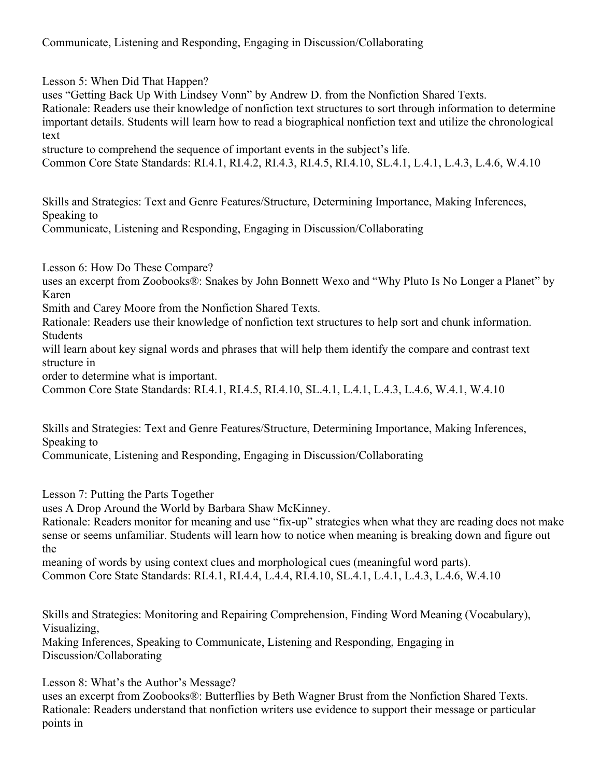Lesson 5: When Did That Happen?

uses "Getting Back Up With Lindsey Vonn" by Andrew D. from the Nonfiction Shared Texts.

Rationale: Readers use their knowledge of nonfiction text structures to sort through information to determine important details. Students will learn how to read a biographical nonfiction text and utilize the chronological text

structure to comprehend the sequence of important events in the subject's life.

Common Core State Standards: RI.4.1, RI.4.2, RI.4.3, RI.4.5, RI.4.10, SL.4.1, L.4.1, L.4.3, L.4.6, W.4.10

Skills and Strategies: Text and Genre Features/Structure, Determining Importance, Making Inferences, Speaking to

Communicate, Listening and Responding, Engaging in Discussion/Collaborating

Lesson 6: How Do These Compare?

uses an excerpt from Zoobooks®: Snakes by John Bonnett Wexo and "Why Pluto Is No Longer a Planet" by Karen

Smith and Carey Moore from the Nonfiction Shared Texts.

Rationale: Readers use their knowledge of nonfiction text structures to help sort and chunk information. Students

will learn about key signal words and phrases that will help them identify the compare and contrast text structure in

order to determine what is important.

Common Core State Standards: RI.4.1, RI.4.5, RI.4.10, SL.4.1, L.4.1, L.4.3, L.4.6, W.4.1, W.4.10

Skills and Strategies: Text and Genre Features/Structure, Determining Importance, Making Inferences, Speaking to

Communicate, Listening and Responding, Engaging in Discussion/Collaborating

Lesson 7: Putting the Parts Together

uses A Drop Around the World by Barbara Shaw McKinney.

Rationale: Readers monitor for meaning and use "fix-up" strategies when what they are reading does not make sense or seems unfamiliar. Students will learn how to notice when meaning is breaking down and figure out the

meaning of words by using context clues and morphological cues (meaningful word parts). Common Core State Standards: RI.4.1, RI.4.4, L.4.4, RI.4.10, SL.4.1, L.4.1, L.4.3, L.4.6, W.4.10

Skills and Strategies: Monitoring and Repairing Comprehension, Finding Word Meaning (Vocabulary), Visualizing,

Making Inferences, Speaking to Communicate, Listening and Responding, Engaging in Discussion/Collaborating

Lesson 8: What's the Author's Message?

uses an excerpt from Zoobooks®: Butterflies by Beth Wagner Brust from the Nonfiction Shared Texts. Rationale: Readers understand that nonfiction writers use evidence to support their message or particular points in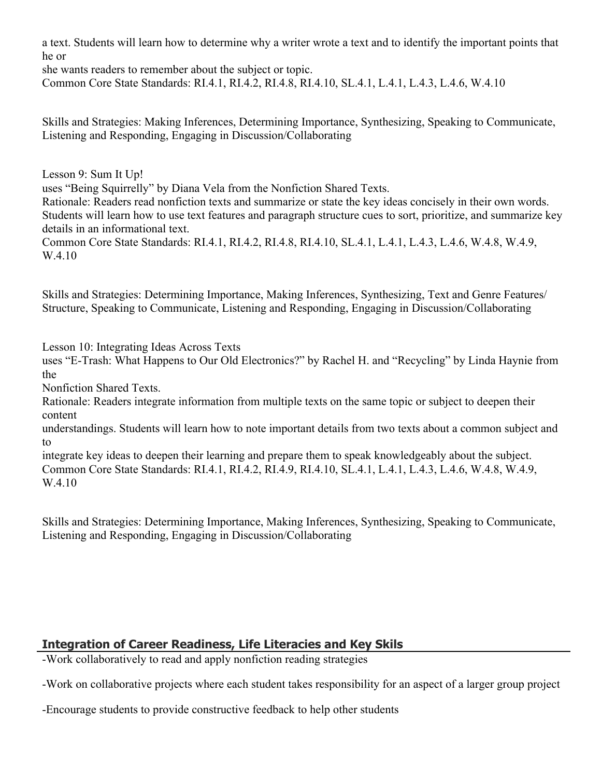a text. Students will learn how to determine why a writer wrote a text and to identify the important points that he or

she wants readers to remember about the subject or topic. Common Core State Standards: RI.4.1, RI.4.2, RI.4.8, RI.4.10, SL.4.1, L.4.1, L.4.3, L.4.6, W.4.10

Skills and Strategies: Making Inferences, Determining Importance, Synthesizing, Speaking to Communicate, Listening and Responding, Engaging in Discussion/Collaborating

Lesson 9: Sum It Up!

uses "Being Squirrelly" by Diana Vela from the Nonfiction Shared Texts.

Rationale: Readers read nonfiction texts and summarize or state the key ideas concisely in their own words. Students will learn how to use text features and paragraph structure cues to sort, prioritize, and summarize key details in an informational text.

Common Core State Standards: RI.4.1, RI.4.2, RI.4.8, RI.4.10, SL.4.1, L.4.1, L.4.3, L.4.6, W.4.8, W.4.9, W.4.10

Skills and Strategies: Determining Importance, Making Inferences, Synthesizing, Text and Genre Features/ Structure, Speaking to Communicate, Listening and Responding, Engaging in Discussion/Collaborating

Lesson 10: Integrating Ideas Across Texts

uses "E-Trash: What Happens to Our Old Electronics?" by Rachel H. and "Recycling" by Linda Haynie from the

Nonfiction Shared Texts.

Rationale: Readers integrate information from multiple texts on the same topic or subject to deepen their content

understandings. Students will learn how to note important details from two texts about a common subject and to

integrate key ideas to deepen their learning and prepare them to speak knowledgeably about the subject. Common Core State Standards: RI.4.1, RI.4.2, RI.4.9, RI.4.10, SL.4.1, L.4.1, L.4.3, L.4.6, W.4.8, W.4.9, W.4.10

Skills and Strategies: Determining Importance, Making Inferences, Synthesizing, Speaking to Communicate, Listening and Responding, Engaging in Discussion/Collaborating

# **Integration of Career Readiness, Life Literacies and Key Skils**

-Work collaboratively to read and apply nonfiction reading strategies

-Work on collaborative projects where each student takes responsibility for an aspect of a larger group project

-Encourage students to provide constructive feedback to help other students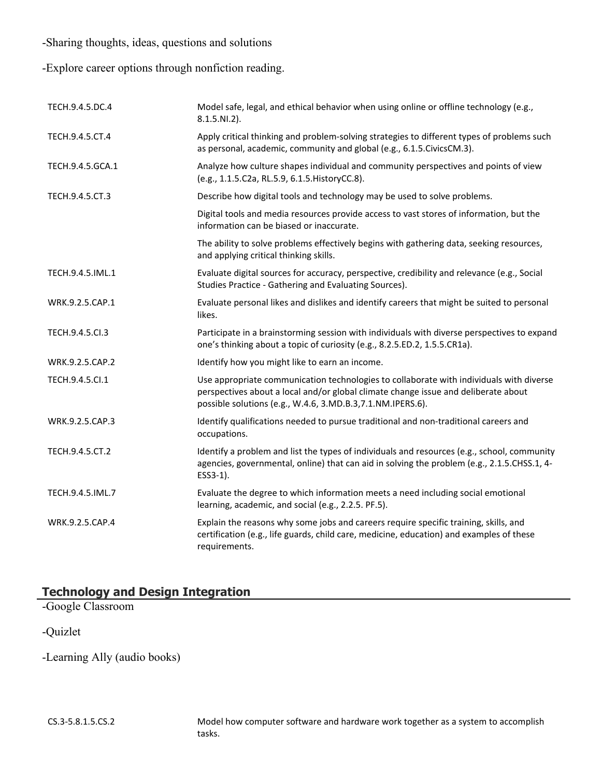-Sharing thoughts, ideas, questions and solutions

-Explore career options through nonfiction reading.

| TECH.9.4.5.DC.4  | Model safe, legal, and ethical behavior when using online or offline technology (e.g.,<br>$8.1.5.NI.2$ ).                                                                                                                                   |
|------------------|---------------------------------------------------------------------------------------------------------------------------------------------------------------------------------------------------------------------------------------------|
| TECH.9.4.5.CT.4  | Apply critical thinking and problem-solving strategies to different types of problems such<br>as personal, academic, community and global (e.g., 6.1.5. Civics CM.3).                                                                       |
| TECH.9.4.5.GCA.1 | Analyze how culture shapes individual and community perspectives and points of view<br>(e.g., 1.1.5.C2a, RL.5.9, 6.1.5. HistoryCC.8).                                                                                                       |
| TECH.9.4.5.CT.3  | Describe how digital tools and technology may be used to solve problems.                                                                                                                                                                    |
|                  | Digital tools and media resources provide access to vast stores of information, but the<br>information can be biased or inaccurate.                                                                                                         |
|                  | The ability to solve problems effectively begins with gathering data, seeking resources,<br>and applying critical thinking skills.                                                                                                          |
| TECH.9.4.5.IML.1 | Evaluate digital sources for accuracy, perspective, credibility and relevance (e.g., Social<br>Studies Practice - Gathering and Evaluating Sources).                                                                                        |
| WRK.9.2.5.CAP.1  | Evaluate personal likes and dislikes and identify careers that might be suited to personal<br>likes.                                                                                                                                        |
| TECH.9.4.5.Cl.3  | Participate in a brainstorming session with individuals with diverse perspectives to expand<br>one's thinking about a topic of curiosity (e.g., 8.2.5.ED.2, 1.5.5.CR1a).                                                                    |
| WRK.9.2.5.CAP.2  | Identify how you might like to earn an income.                                                                                                                                                                                              |
| TECH.9.4.5.Cl.1  | Use appropriate communication technologies to collaborate with individuals with diverse<br>perspectives about a local and/or global climate change issue and deliberate about<br>possible solutions (e.g., W.4.6, 3.MD.B.3,7.1.NM.IPERS.6). |
| WRK.9.2.5.CAP.3  | Identify qualifications needed to pursue traditional and non-traditional careers and<br>occupations.                                                                                                                                        |
| TECH.9.4.5.CT.2  | Identify a problem and list the types of individuals and resources (e.g., school, community<br>agencies, governmental, online) that can aid in solving the problem (e.g., 2.1.5.CHSS.1, 4-<br>ESS3-1).                                      |
| TECH.9.4.5.IML.7 | Evaluate the degree to which information meets a need including social emotional<br>learning, academic, and social (e.g., 2.2.5. PF.5).                                                                                                     |
| WRK.9.2.5.CAP.4  | Explain the reasons why some jobs and careers require specific training, skills, and<br>certification (e.g., life guards, child care, medicine, education) and examples of these<br>requirements.                                           |

# **Technology and Design Integration**

-Google Classroom

-Quizlet

-Learning Ally (audio books)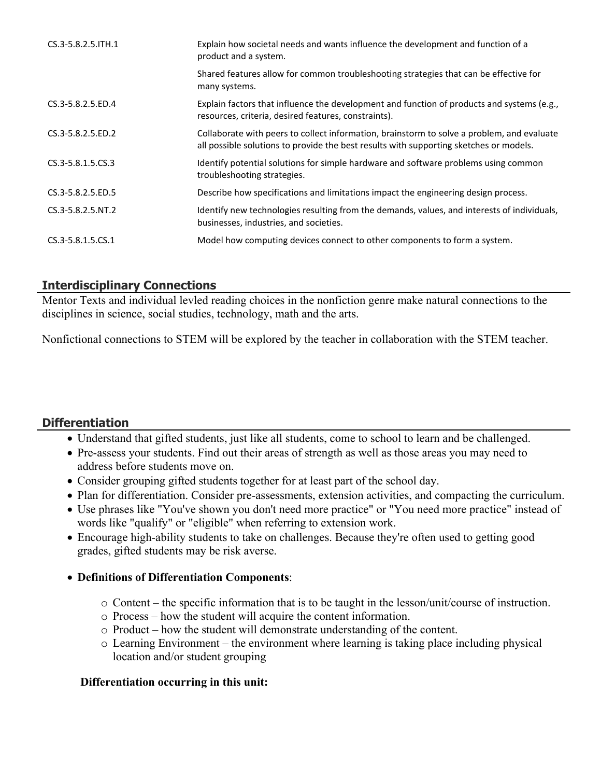| CS.3-5.8.2.5. ITH.1 | Explain how societal needs and wants influence the development and function of a<br>product and a system.                                                                            |
|---------------------|--------------------------------------------------------------------------------------------------------------------------------------------------------------------------------------|
|                     | Shared features allow for common troubleshooting strategies that can be effective for<br>many systems.                                                                               |
| CS.3-5.8.2.5.ED.4   | Explain factors that influence the development and function of products and systems (e.g.,<br>resources, criteria, desired features, constraints).                                   |
| CS.3-5.8.2.5.ED.2   | Collaborate with peers to collect information, brainstorm to solve a problem, and evaluate<br>all possible solutions to provide the best results with supporting sketches or models. |
| CS.3-5.8.1.5.CS.3   | Identify potential solutions for simple hardware and software problems using common<br>troubleshooting strategies.                                                                   |
| CS.3-5.8.2.5.ED.5   | Describe how specifications and limitations impact the engineering design process.                                                                                                   |
| CS.3-5.8.2.5.NT.2   | Identify new technologies resulting from the demands, values, and interests of individuals,<br>businesses, industries, and societies.                                                |
| CS.3-5.8.1.5.CS.1   | Model how computing devices connect to other components to form a system.                                                                                                            |

# **Interdisciplinary Connections**

Mentor Texts and individual levled reading choices in the nonfiction genre make natural connections to the disciplines in science, social studies, technology, math and the arts.

Nonfictional connections to STEM will be explored by the teacher in collaboration with the STEM teacher.

# **Differentiation**

- Understand that gifted students, just like all students, come to school to learn and be challenged.
- Pre-assess your students. Find out their areas of strength as well as those areas you may need to address before students move on.
- Consider grouping gifted students together for at least part of the school day.
- Plan for differentiation. Consider pre-assessments, extension activities, and compacting the curriculum.
- Use phrases like "You've shown you don't need more practice" or "You need more practice" instead of words like "qualify" or "eligible" when referring to extension work.
- Encourage high-ability students to take on challenges. Because they're often used to getting good grades, gifted students may be risk averse.

#### **Definitions of Differentiation Components**:

- o Content the specific information that is to be taught in the lesson/unit/course of instruction.
- o Process how the student will acquire the content information.
- o Product how the student will demonstrate understanding of the content.
- o Learning Environment the environment where learning is taking place including physical location and/or student grouping

#### **Differentiation occurring in this unit:**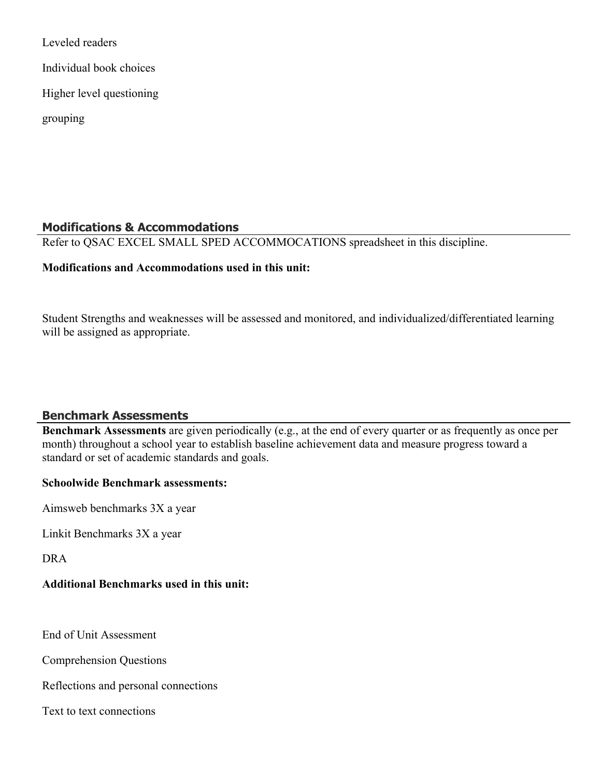Leveled readers Individual book choices Higher level questioning grouping

#### **Modifications & Accommodations**

Refer to QSAC EXCEL SMALL SPED ACCOMMOCATIONS spreadsheet in this discipline.

#### **Modifications and Accommodations used in this unit:**

Student Strengths and weaknesses will be assessed and monitored, and individualized/differentiated learning will be assigned as appropriate.

#### **Benchmark Assessments**

**Benchmark Assessments** are given periodically (e.g., at the end of every quarter or as frequently as once per month) throughout a school year to establish baseline achievement data and measure progress toward a standard or set of academic standards and goals.

#### **Schoolwide Benchmark assessments:**

Aimsweb benchmarks 3X a year

Linkit Benchmarks 3X a year

DRA

# **Additional Benchmarks used in this unit:**

End of Unit Assessment

Comprehension Questions

Reflections and personal connections

Text to text connections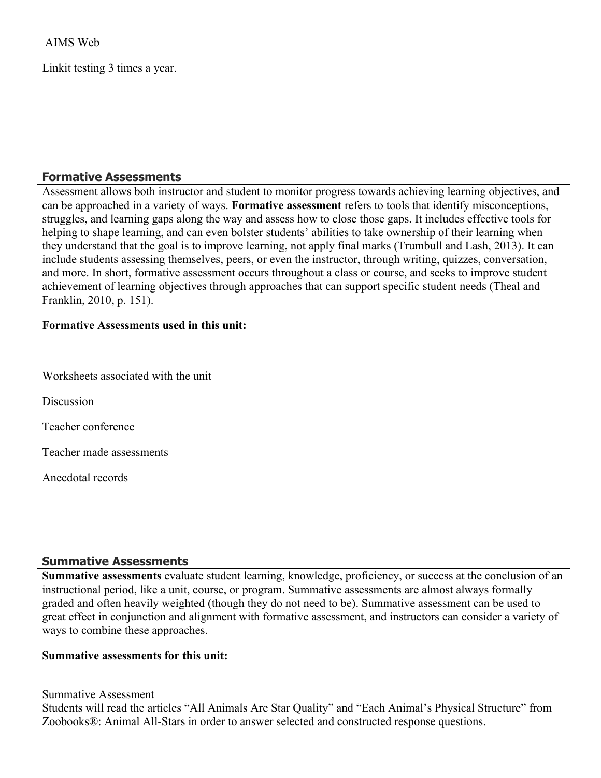AIMS Web

Linkit testing 3 times a year.

#### **Formative Assessments**

Assessment allows both instructor and student to monitor progress towards achieving learning objectives, and can be approached in a variety of ways. **Formative assessment** refers to tools that identify misconceptions, struggles, and learning gaps along the way and assess how to close those gaps. It includes effective tools for helping to shape learning, and can even bolster students' abilities to take ownership of their learning when they understand that the goal is to improve learning, not apply final marks (Trumbull and Lash, 2013). It can include students assessing themselves, peers, or even the instructor, through writing, quizzes, conversation, and more. In short, formative assessment occurs throughout a class or course, and seeks to improve student achievement of learning objectives through approaches that can support specific student needs (Theal and Franklin, 2010, p. 151).

#### **Formative Assessments used in this unit:**

Worksheets associated with the unit

**Discussion** 

Teacher conference

Teacher made assessments

Anecdotal records

#### **Summative Assessments**

**Summative assessments** evaluate student learning, knowledge, proficiency, or success at the conclusion of an instructional period, like a unit, course, or program. Summative assessments are almost always formally graded and often heavily weighted (though they do not need to be). Summative assessment can be used to great effect in conjunction and alignment with formative assessment, and instructors can consider a variety of ways to combine these approaches.

#### **Summative assessments for this unit:**

Summative Assessment Students will read the articles "All Animals Are Star Quality" and "Each Animal's Physical Structure" from Zoobooks®: Animal All-Stars in order to answer selected and constructed response questions.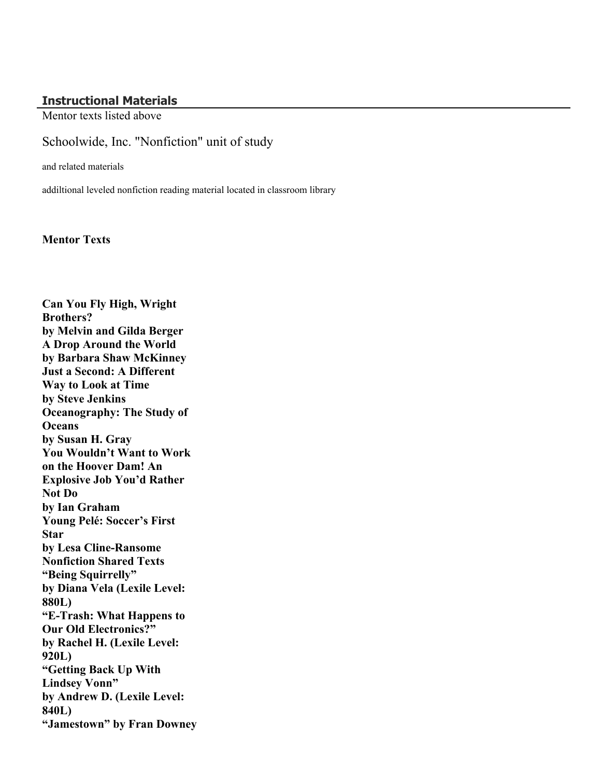#### **Instructional Materials**

Mentor texts listed above

#### Schoolwide, Inc. "Nonfiction" unit of study

and related materials

addiltional leveled nonfiction reading material located in classroom library

**Mentor Texts**

**Can You Fly High, Wright Brothers? by Melvin and Gilda Berger A Drop Around the World by Barbara Shaw McKinney Just a Second: A Different Way to Look at Time by Steve Jenkins Oceanography: The Study of Oceans by Susan H. Gray You Wouldn't Want to Work on the Hoover Dam! An Explosive Job You'd Rather Not Do by Ian Graham Young Pelé: Soccer's First Star by Lesa Cline-Ransome Nonfiction Shared Texts "Being Squirrelly" by Diana Vela (Lexile Level: 880L) "E-Trash: What Happens to Our Old Electronics?" by Rachel H. (Lexile Level: 920L) "Getting Back Up With Lindsey Vonn" by Andrew D. (Lexile Level: 840L) "Jamestown" by Fran Downey**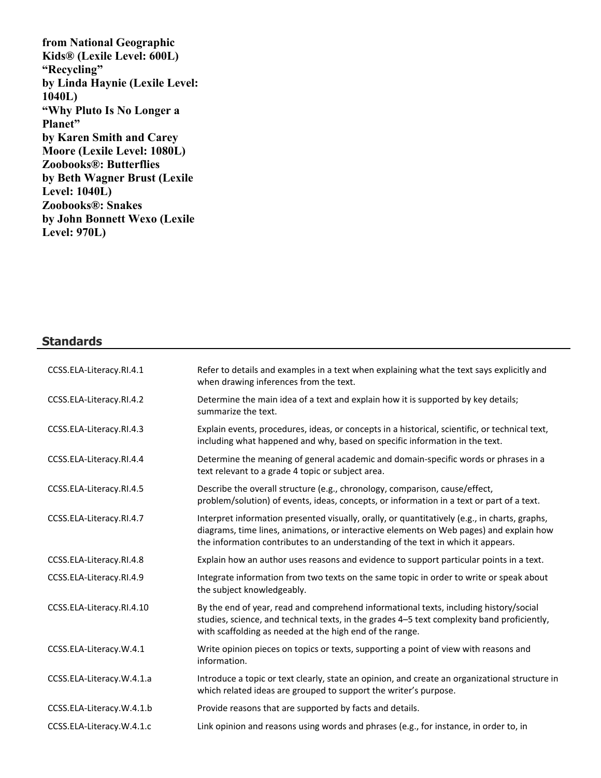**from National Geographic Kids® (Lexile Level: 600L) "Recycling" by Linda Haynie (Lexile Level: 1040L) "Why Pluto Is No Longer a Planet" by Karen Smith and Carey Moore (Lexile Level: 1080L) Zoobooks®: Butterflies by Beth Wagner Brust (Lexile Level: 1040L) Zoobooks®: Snakes by John Bonnett Wexo (Lexile Level: 970L)**

#### **Standards**

| CCSS.ELA-Literacy.RI.4.1  | Refer to details and examples in a text when explaining what the text says explicitly and<br>when drawing inferences from the text.                                                                                                                                          |
|---------------------------|------------------------------------------------------------------------------------------------------------------------------------------------------------------------------------------------------------------------------------------------------------------------------|
| CCSS.ELA-Literacy.RI.4.2  | Determine the main idea of a text and explain how it is supported by key details;<br>summarize the text.                                                                                                                                                                     |
| CCSS.ELA-Literacy.RI.4.3  | Explain events, procedures, ideas, or concepts in a historical, scientific, or technical text,<br>including what happened and why, based on specific information in the text.                                                                                                |
| CCSS.ELA-Literacy.RI.4.4  | Determine the meaning of general academic and domain-specific words or phrases in a<br>text relevant to a grade 4 topic or subject area.                                                                                                                                     |
| CCSS.ELA-Literacy.RI.4.5  | Describe the overall structure (e.g., chronology, comparison, cause/effect,<br>problem/solution) of events, ideas, concepts, or information in a text or part of a text.                                                                                                     |
| CCSS.ELA-Literacy.RI.4.7  | Interpret information presented visually, orally, or quantitatively (e.g., in charts, graphs,<br>diagrams, time lines, animations, or interactive elements on Web pages) and explain how<br>the information contributes to an understanding of the text in which it appears. |
| CCSS.ELA-Literacy.RI.4.8  | Explain how an author uses reasons and evidence to support particular points in a text.                                                                                                                                                                                      |
| CCSS.ELA-Literacy.RI.4.9  | Integrate information from two texts on the same topic in order to write or speak about<br>the subject knowledgeably.                                                                                                                                                        |
| CCSS.ELA-Literacy.RI.4.10 | By the end of year, read and comprehend informational texts, including history/social<br>studies, science, and technical texts, in the grades 4-5 text complexity band proficiently,<br>with scaffolding as needed at the high end of the range.                             |
| CCSS.ELA-Literacy.W.4.1   | Write opinion pieces on topics or texts, supporting a point of view with reasons and<br>information.                                                                                                                                                                         |
| CCSS.ELA-Literacy.W.4.1.a | Introduce a topic or text clearly, state an opinion, and create an organizational structure in<br>which related ideas are grouped to support the writer's purpose.                                                                                                           |
| CCSS.ELA-Literacy.W.4.1.b | Provide reasons that are supported by facts and details.                                                                                                                                                                                                                     |
| CCSS.ELA-Literacy.W.4.1.c | Link opinion and reasons using words and phrases (e.g., for instance, in order to, in                                                                                                                                                                                        |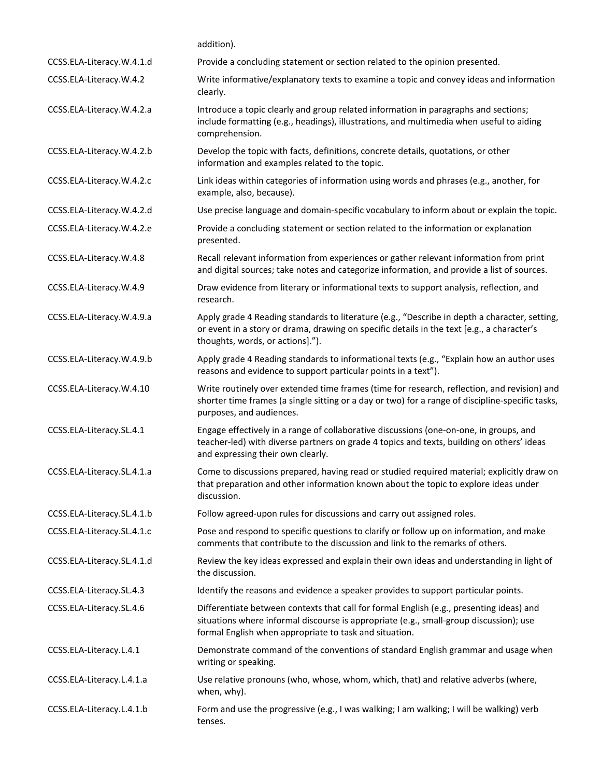|                            | addition).                                                                                                                                                                                                                                   |
|----------------------------|----------------------------------------------------------------------------------------------------------------------------------------------------------------------------------------------------------------------------------------------|
| CCSS.ELA-Literacy.W.4.1.d  | Provide a concluding statement or section related to the opinion presented.                                                                                                                                                                  |
| CCSS.ELA-Literacy.W.4.2    | Write informative/explanatory texts to examine a topic and convey ideas and information<br>clearly.                                                                                                                                          |
| CCSS.ELA-Literacy.W.4.2.a  | Introduce a topic clearly and group related information in paragraphs and sections;<br>include formatting (e.g., headings), illustrations, and multimedia when useful to aiding<br>comprehension.                                            |
| CCSS.ELA-Literacy.W.4.2.b  | Develop the topic with facts, definitions, concrete details, quotations, or other<br>information and examples related to the topic.                                                                                                          |
| CCSS.ELA-Literacy.W.4.2.c  | Link ideas within categories of information using words and phrases (e.g., another, for<br>example, also, because).                                                                                                                          |
| CCSS.ELA-Literacy.W.4.2.d  | Use precise language and domain-specific vocabulary to inform about or explain the topic.                                                                                                                                                    |
| CCSS.ELA-Literacy.W.4.2.e  | Provide a concluding statement or section related to the information or explanation<br>presented.                                                                                                                                            |
| CCSS.ELA-Literacy.W.4.8    | Recall relevant information from experiences or gather relevant information from print<br>and digital sources; take notes and categorize information, and provide a list of sources.                                                         |
| CCSS.ELA-Literacy.W.4.9    | Draw evidence from literary or informational texts to support analysis, reflection, and<br>research.                                                                                                                                         |
| CCSS.ELA-Literacy.W.4.9.a  | Apply grade 4 Reading standards to literature (e.g., "Describe in depth a character, setting,<br>or event in a story or drama, drawing on specific details in the text [e.g., a character's<br>thoughts, words, or actions].").              |
| CCSS.ELA-Literacy.W.4.9.b  | Apply grade 4 Reading standards to informational texts (e.g., "Explain how an author uses<br>reasons and evidence to support particular points in a text").                                                                                  |
| CCSS.ELA-Literacy.W.4.10   | Write routinely over extended time frames (time for research, reflection, and revision) and<br>shorter time frames (a single sitting or a day or two) for a range of discipline-specific tasks,<br>purposes, and audiences.                  |
| CCSS.ELA-Literacy.SL.4.1   | Engage effectively in a range of collaborative discussions (one-on-one, in groups, and<br>teacher-led) with diverse partners on grade 4 topics and texts, building on others' ideas<br>and expressing their own clearly.                     |
| CCSS.ELA-Literacy.SL.4.1.a | Come to discussions prepared, having read or studied required material; explicitly draw on<br>that preparation and other information known about the topic to explore ideas under<br>discussion.                                             |
| CCSS.ELA-Literacy.SL.4.1.b | Follow agreed-upon rules for discussions and carry out assigned roles.                                                                                                                                                                       |
| CCSS.ELA-Literacy.SL.4.1.c | Pose and respond to specific questions to clarify or follow up on information, and make<br>comments that contribute to the discussion and link to the remarks of others.                                                                     |
| CCSS.ELA-Literacy.SL.4.1.d | Review the key ideas expressed and explain their own ideas and understanding in light of<br>the discussion.                                                                                                                                  |
| CCSS.ELA-Literacy.SL.4.3   | Identify the reasons and evidence a speaker provides to support particular points.                                                                                                                                                           |
| CCSS.ELA-Literacy.SL.4.6   | Differentiate between contexts that call for formal English (e.g., presenting ideas) and<br>situations where informal discourse is appropriate (e.g., small-group discussion); use<br>formal English when appropriate to task and situation. |
| CCSS.ELA-Literacy.L.4.1    | Demonstrate command of the conventions of standard English grammar and usage when<br>writing or speaking.                                                                                                                                    |
| CCSS.ELA-Literacy.L.4.1.a  | Use relative pronouns (who, whose, whom, which, that) and relative adverbs (where,<br>when, why).                                                                                                                                            |
| CCSS.ELA-Literacy.L.4.1.b  | Form and use the progressive (e.g., I was walking; I am walking; I will be walking) verb<br>tenses.                                                                                                                                          |